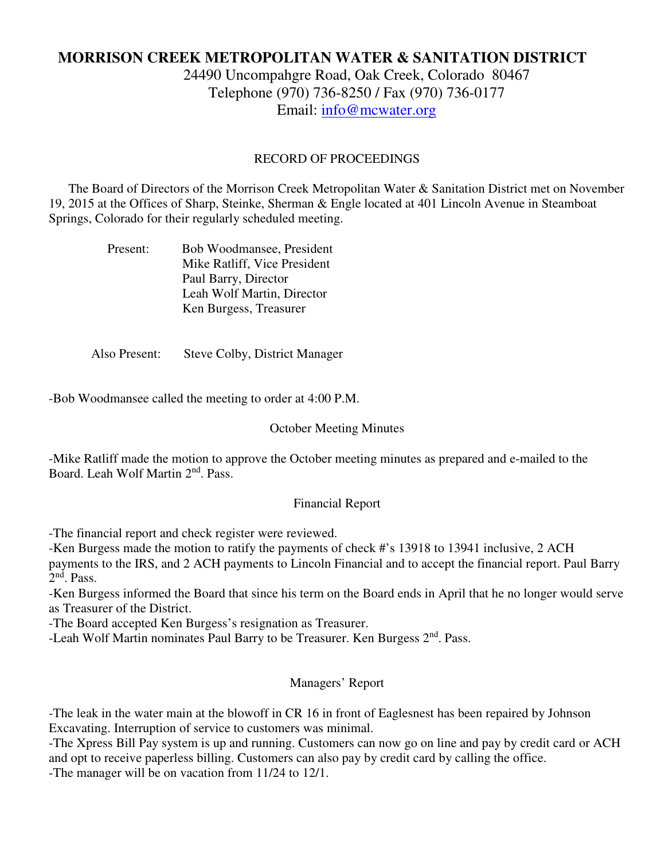# **MORRISON CREEK METROPOLITAN WATER & SANITATION DISTRICT**

24490 Uncompahgre Road, Oak Creek, Colorado 80467 Telephone (970) 736-8250 / Fax (970) 736-0177 Email: info@mcwater.org

### RECORD OF PROCEEDINGS

 The Board of Directors of the Morrison Creek Metropolitan Water & Sanitation District met on November 19, 2015 at the Offices of Sharp, Steinke, Sherman & Engle located at 401 Lincoln Avenue in Steamboat Springs, Colorado for their regularly scheduled meeting.

| Present: | Bob Woodmansee, President    |
|----------|------------------------------|
|          | Mike Ratliff, Vice President |
|          | Paul Barry, Director         |
|          | Leah Wolf Martin, Director   |
|          | Ken Burgess, Treasurer       |

Also Present: Steve Colby, District Manager

-Bob Woodmansee called the meeting to order at 4:00 P.M.

### October Meeting Minutes

-Mike Ratliff made the motion to approve the October meeting minutes as prepared and e-mailed to the Board. Leah Wolf Martin 2nd. Pass.

#### Financial Report

-The financial report and check register were reviewed.

-Ken Burgess made the motion to ratify the payments of check #'s 13918 to 13941 inclusive, 2 ACH payments to the IRS, and 2 ACH payments to Lincoln Financial and to accept the financial report. Paul Barry 2<sup>nd</sup>. Pass.

-Ken Burgess informed the Board that since his term on the Board ends in April that he no longer would serve as Treasurer of the District.

-The Board accepted Ken Burgess's resignation as Treasurer.

-Leah Wolf Martin nominates Paul Barry to be Treasurer. Ken Burgess 2<sup>nd</sup>. Pass.

## Managers' Report

-The leak in the water main at the blowoff in CR 16 in front of Eaglesnest has been repaired by Johnson Excavating. Interruption of service to customers was minimal.

-The Xpress Bill Pay system is up and running. Customers can now go on line and pay by credit card or ACH and opt to receive paperless billing. Customers can also pay by credit card by calling the office. -The manager will be on vacation from 11/24 to 12/1.